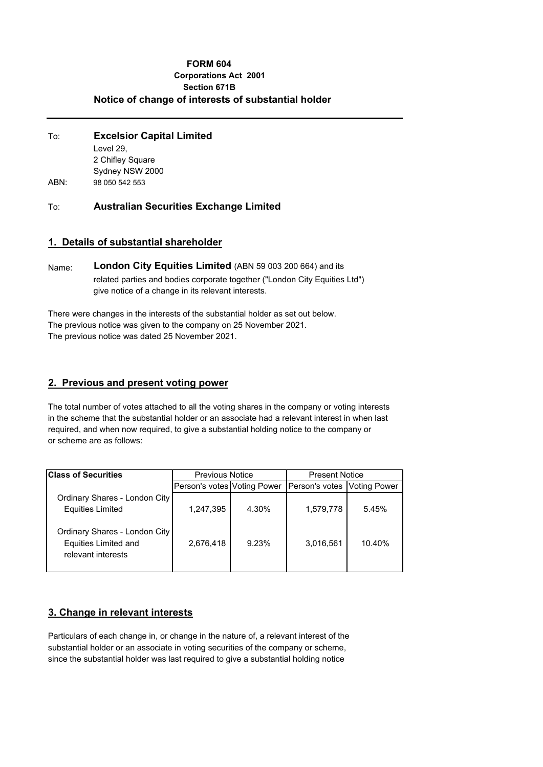### **FORM 604 Corporations Act 2001 Section 671B Notice of change of interests of substantial holder**

| To:  | <b>Excelsior Capital Limited</b> |  |  |
|------|----------------------------------|--|--|
|      | Level 29.                        |  |  |
|      | 2 Chifley Square                 |  |  |
|      | Sydney NSW 2000                  |  |  |
| ABN: | 98 050 542 553                   |  |  |

To: **Australian Securities Exchange Limited**

## **1. Details of substantial shareholder**

Name: **London City Equities Limited** (ABN 59 003 200 664) and its related parties and bodies corporate together ("London City Equities Ltd") give notice of a change in its relevant interests.

There were changes in the interests of the substantial holder as set out below. The previous notice was given to the company on 25 November 2021. The previous notice was dated 25 November 2021.

### **2. Previous and present voting power**

The total number of votes attached to all the voting shares in the company or voting interests in the scheme that the substantial holder or an associate had a relevant interest in when last required, and when now required, to give a substantial holding notice to the company or or scheme are as follows:

| <b>Class of Securities</b>                                                         | <b>Previous Notice</b>      |       | <b>Present Notice</b>       |        |
|------------------------------------------------------------------------------------|-----------------------------|-------|-----------------------------|--------|
|                                                                                    | Person's votes Voting Power |       | Person's votes Voting Power |        |
| Ordinary Shares - London City<br><b>Equities Limited</b>                           | 1,247,395                   | 4.30% | 1,579,778                   | 5.45%  |
| Ordinary Shares - London City<br><b>Equities Limited and</b><br>relevant interests | 2,676,418                   | 9.23% | 3,016,561                   | 10.40% |

# **3. Change in relevant interests**

Particulars of each change in, or change in the nature of, a relevant interest of the substantial holder or an associate in voting securities of the company or scheme, since the substantial holder was last required to give a substantial holding notice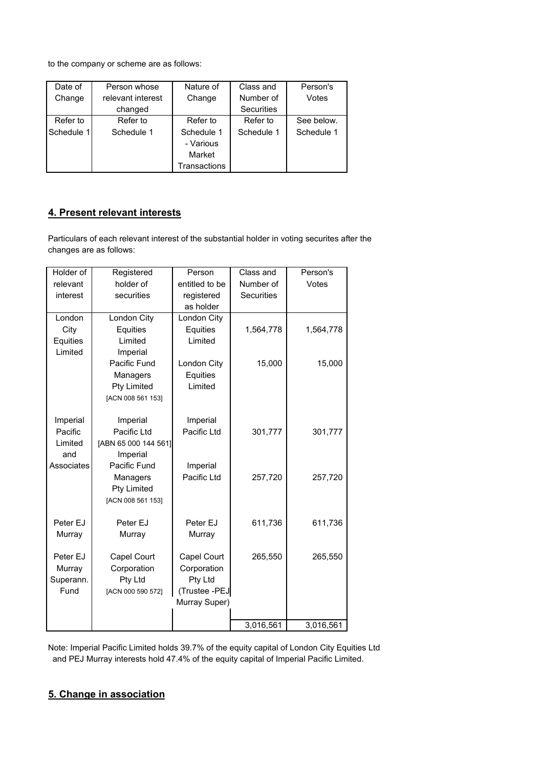to the company or scheme are as follows:

| Date of    | Person whose      | Nature of    | Class and  | Person's   |
|------------|-------------------|--------------|------------|------------|
| Change     | relevant interest | Change       | Number of  | Votes      |
|            | changed           |              | Securities |            |
| Refer to   | Refer to          | Refer to     | Refer to   | See below. |
| Schedule 1 | Schedule 1        | Schedule 1   | Schedule 1 | Schedule 1 |
|            |                   | - Various    |            |            |
|            |                   | Market       |            |            |
|            |                   | Transactions |            |            |

# **4. Present relevant interests**

Particulars of each relevant interest of the substantial holder in voting securites after the changes are as follows:

| Holder of  | Registered           | Person         | Class and         | Person's  |
|------------|----------------------|----------------|-------------------|-----------|
| relevant   | holder of            | entitled to be | Number of         | Votes     |
| interest   | securities           | registered     | <b>Securities</b> |           |
|            |                      | as holder      |                   |           |
| London     | London City          | London City    |                   |           |
| City       | Equities             | Equities       | 1,564,778         | 1,564,778 |
| Equities   | Limited              | Limited        |                   |           |
| Limited    | Imperial             |                |                   |           |
|            | Pacific Fund         | London City    | 15,000            | 15,000    |
|            | Managers             | Equities       |                   |           |
|            | <b>Pty Limited</b>   | Limited        |                   |           |
|            | [ACN 008 561 153]    |                |                   |           |
|            |                      |                |                   |           |
| Imperial   | Imperial             | Imperial       |                   |           |
| Pacific    | Pacific Ltd          | Pacific Ltd    | 301,777           | 301,777   |
| Limited    | [ABN 65 000 144 561] |                |                   |           |
| and        | Imperial             |                |                   |           |
| Associates | Pacific Fund         | Imperial       |                   |           |
|            | Managers             | Pacific Ltd    | 257,720           | 257,720   |
|            | <b>Pty Limited</b>   |                |                   |           |
|            | [ACN 008 561 153]    |                |                   |           |
|            |                      |                |                   |           |
| Peter EJ   | Peter EJ             | Peter EJ       | 611,736           | 611,736   |
| Murray     | Murray               | Murray         |                   |           |
|            |                      |                |                   |           |
| Peter EJ   | Capel Court          | Capel Court    | 265,550           | 265,550   |
| Murray     | Corporation          | Corporation    |                   |           |
| Superann.  | Pty Ltd              | Pty Ltd        |                   |           |
| Fund       | [ACN 000 590 572]    | (Trustee -PEJ  |                   |           |
|            |                      | Murray Super)  |                   |           |
|            |                      |                |                   |           |
|            |                      |                | 3,016,561         | 3,016,561 |

Note: Imperial Pacific Limited holds 39.7% of the equity capital of London City Equities Ltd and PEJ Murray interests hold 47.4% of the equity capital of Imperial Pacific Limited.

# **5. Change in association**